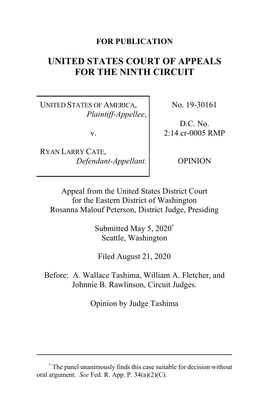# **FOR PUBLICATION**

# **UNITED STATES COURT OF APPEALS FOR THE NINTH CIRCUIT**

UNITED STATES OF AMERICA, *Plaintiff-Appellee*,

v.

RYAN LARRY CATE, *Defendant-Appellant.* No. 19-30161

D.C. No. 2:14 cr-0005 RMP

OPINION

Appeal from the United States District Court for the Eastern District of Washington Rosanna Malouf Peterson, District Judge, Presiding

> Submitted May 5, 2020**\*** Seattle, Washington

Filed August 21, 2020

Before: A. Wallace Tashima, William A. Fletcher, and Johnnie B. Rawlinson, Circuit Judges.

Opinion by Judge Tashima

**<sup>\*</sup>** The panel unanimously finds this case suitable for decision without oral argument. *See* Fed. R. App. P. 34(a)(2)(C).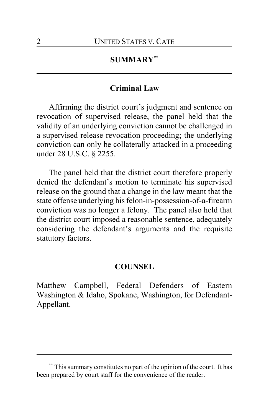# **SUMMARY\*\***

# **Criminal Law**

Affirming the district court's judgment and sentence on revocation of supervised release, the panel held that the validity of an underlying conviction cannot be challenged in a supervised release revocation proceeding; the underlying conviction can only be collaterally attacked in a proceeding under 28 U.S.C. § 2255.

The panel held that the district court therefore properly denied the defendant's motion to terminate his supervised release on the ground that a change in the law meant that the state offense underlying his felon-in-possession-of-a-firearm conviction was no longer a felony. The panel also held that the district court imposed a reasonable sentence, adequately considering the defendant's arguments and the requisite statutory factors.

# **COUNSEL**

Matthew Campbell, Federal Defenders of Eastern Washington & Idaho, Spokane, Washington, for Defendant-Appellant.

**<sup>\*\*</sup>** This summary constitutes no part of the opinion of the court. It has been prepared by court staff for the convenience of the reader.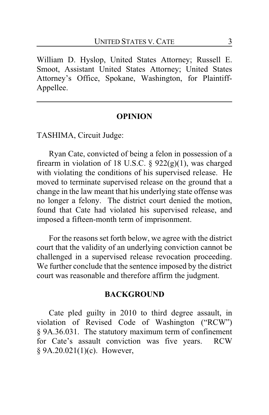William D. Hyslop, United States Attorney; Russell E. Smoot, Assistant United States Attorney; United States Attorney's Office, Spokane, Washington, for Plaintiff-Appellee.

#### **OPINION**

TASHIMA, Circuit Judge:

Ryan Cate, convicted of being a felon in possession of a firearm in violation of 18 U.S.C.  $\S$  922(g)(1), was charged with violating the conditions of his supervised release. He moved to terminate supervised release on the ground that a change in the law meant that his underlying state offense was no longer a felony. The district court denied the motion, found that Cate had violated his supervised release, and imposed a fifteen-month term of imprisonment.

For the reasons set forth below, we agree with the district court that the validity of an underlying conviction cannot be challenged in a supervised release revocation proceeding. We further conclude that the sentence imposed by the district court was reasonable and therefore affirm the judgment.

#### **BACKGROUND**

Cate pled guilty in 2010 to third degree assault, in violation of Revised Code of Washington ("RCW") § 9A.36.031. The statutory maximum term of confinement for Cate's assault conviction was five years. RCW § 9A.20.021(1)(c). However,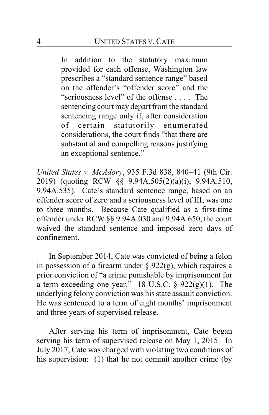In addition to the statutory maximum provided for each offense, Washington law prescribes a "standard sentence range" based on the offender's "offender score" and the "seriousness level" of the offense . . . . The sentencing court may depart fromthe standard sentencing range only if, after consideration of certain statutorily enumerated considerations, the court finds "that there are substantial and compelling reasons justifying an exceptional sentence."

*United States v. McAdory*, 935 F.3d 838, 840–41 (9th Cir. 2019) (quoting RCW §§ 9.94A.505(2)(a)(i), 9.94A.510, 9.94A.535). Cate's standard sentence range, based on an offender score of zero and a seriousness level of III, was one to three months. Because Cate qualified as a first-time offender under RCW §§ 9.94A.030 and 9.94A.650, the court waived the standard sentence and imposed zero days of confinement.

In September 2014, Cate was convicted of being a felon in possession of a firearm under  $\S$  922(g), which requires a prior conviction of "a crime punishable by imprisonment for a term exceeding one year." 18 U.S.C. § 922(g)(1). The underlying felony conviction was his state assault conviction. He was sentenced to a term of eight months' imprisonment and three years of supervised release.

After serving his term of imprisonment, Cate began serving his term of supervised release on May 1, 2015. In July 2017, Cate was charged with violating two conditions of his supervision: (1) that he not commit another crime (by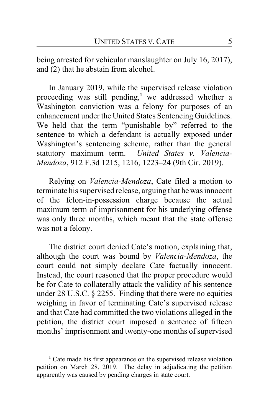being arrested for vehicular manslaughter on July 16, 2017), and (2) that he abstain from alcohol.

In January 2019, while the supervised release violation proceeding was still pending,**<sup>1</sup>** we addressed whether a Washington conviction was a felony for purposes of an enhancement under the United States Sentencing Guidelines. We held that the term "punishable by" referred to the sentence to which a defendant is actually exposed under Washington's sentencing scheme, rather than the general statutory maximum term. *United States v. Valencia-Mendoza*, 912 F.3d 1215, 1216, 1223–24 (9th Cir. 2019).

Relying on *Valencia-Mendoza*, Cate filed a motion to terminate his supervised release, arguing that he was innocent of the felon-in-possession charge because the actual maximum term of imprisonment for his underlying offense was only three months, which meant that the state offense was not a felony.

The district court denied Cate's motion, explaining that, although the court was bound by *Valencia-Mendoza*, the court could not simply declare Cate factually innocent. Instead, the court reasoned that the proper procedure would be for Cate to collaterally attack the validity of his sentence under 28 U.S.C. § 2255. Finding that there were no equities weighing in favor of terminating Cate's supervised release and that Cate had committed the two violations alleged in the petition, the district court imposed a sentence of fifteen months' imprisonment and twenty-one months of supervised

**<sup>1</sup>** Cate made his first appearance on the supervised release violation petition on March 28, 2019. The delay in adjudicating the petition apparently was caused by pending charges in state court.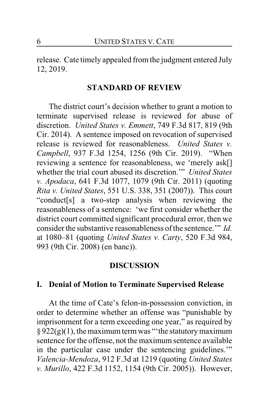release. Cate timely appealed fromthe judgment entered July 12, 2019.

#### **STANDARD OF REVIEW**

The district court's decision whether to grant a motion to terminate supervised release is reviewed for abuse of discretion. *United States v. Emmett*, 749 F.3d 817, 819 (9th Cir. 2014). A sentence imposed on revocation of supervised release is reviewed for reasonableness. *United States v. Campbell*, 937 F.3d 1254, 1256 (9th Cir. 2019). "When reviewing a sentence for reasonableness, we 'merely ask[] whether the trial court abused its discretion.'" *United States v. Apodaca*, 641 F.3d 1077, 1079 (9th Cir. 2011) (quoting *Rita v. United States*, 551 U.S. 338, 351 (2007)). This court "conduct[s] a two-step analysis when reviewing the reasonableness of a sentence: 'we first consider whether the district court committed significant procedural error, then we consider the substantive reasonableness of the sentence.'" *Id.* at 1080–81 (quoting *United States v. Carty*, 520 F.3d 984, 993 (9th Cir. 2008) (en banc)).

#### **DISCUSSION**

### **I. Denial of Motion to Terminate Supervised Release**

At the time of Cate's felon-in-possession conviction, in order to determine whether an offense was "punishable by imprisonment for a term exceeding one year," as required by  $§ 922(g)(1)$ , the maximum term was "the statutory maximum sentence for the offense, not the maximum sentence available in the particular case under the sentencing guidelines.'" *Valencia-Mendoza*, 912 F.3d at 1219 (quoting *United States v. Murillo*, 422 F.3d 1152, 1154 (9th Cir. 2005)). However,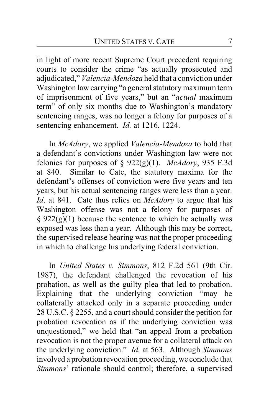in light of more recent Supreme Court precedent requiring courts to consider the crime "as actually prosecuted and adjudicated," *Valencia-Mendoza* held that a conviction under Washington law carrying "a general statutory maximum term of imprisonment of five years," but an "*actual* maximum term" of only six months due to Washington's mandatory sentencing ranges, was no longer a felony for purposes of a sentencing enhancement. *Id.* at 1216, 1224.

In *McAdory*, we applied *Valencia-Mendoza* to hold that a defendant's convictions under Washington law were not felonies for purposes of §  $922(g)(1)$ . *McAdory*, 935 F.3d at 840. Similar to Cate, the statutory maxima for the defendant's offenses of conviction were five years and ten years, but his actual sentencing ranges were less than a year. *Id*. at 841. Cate thus relies on *McAdory* to argue that his Washington offense was not a felony for purposes of  $§ 922(g)(1)$  because the sentence to which he actually was exposed was less than a year. Although this may be correct, the supervised release hearing was not the proper proceeding in which to challenge his underlying federal conviction.

In *United States v. Simmons*, 812 F.2d 561 (9th Cir. 1987), the defendant challenged the revocation of his probation, as well as the guilty plea that led to probation. Explaining that the underlying conviction "may be collaterally attacked only in a separate proceeding under 28 U.S.C. § 2255, and a court should consider the petition for probation revocation as if the underlying conviction was unquestioned," we held that "an appeal from a probation revocation is not the proper avenue for a collateral attack on the underlying conviction." *Id.* at 563. Although *Simmons* involved a probation revocation proceeding, we conclude that *Simmons*' rationale should control; therefore, a supervised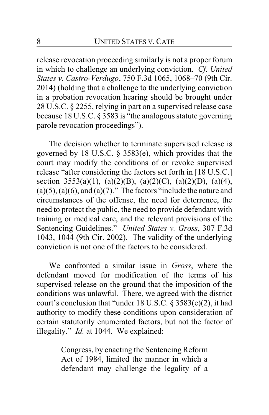release revocation proceeding similarly is not a proper forum in which to challenge an underlying conviction. *Cf. United States v. Castro-Verdugo*, 750 F.3d 1065, 1068–70 (9th Cir. 2014) (holding that a challenge to the underlying conviction in a probation revocation hearing should be brought under 28 U.S.C. § 2255, relying in part on a supervised release case because 18 U.S.C. § 3583 is "the analogous statute governing parole revocation proceedings").

The decision whether to terminate supervised release is governed by 18 U.S.C. § 3583(e), which provides that the court may modify the conditions of or revoke supervised release "after considering the factors set forth in [18 U.S.C.] section 3553(a)(1), (a)(2)(B), (a)(2)(C), (a)(2)(D), (a)(4),  $(a)(5)$ ,  $(a)(6)$ , and  $(a)(7)$ ." The factors "include the nature and circumstances of the offense, the need for deterrence, the need to protect the public, the need to provide defendant with training or medical care, and the relevant provisions of the Sentencing Guidelines." *United States v. Gross*, 307 F.3d 1043, 1044 (9th Cir. 2002). The validity of the underlying conviction is not one of the factors to be considered.

We confronted a similar issue in *Gross*, where the defendant moved for modification of the terms of his supervised release on the ground that the imposition of the conditions was unlawful. There, we agreed with the district court's conclusion that "under 18 U.S.C. § 3583(e)(2), it had authority to modify these conditions upon consideration of certain statutorily enumerated factors, but not the factor of illegality." *Id.* at 1044. We explained:

> Congress, by enacting the Sentencing Reform Act of 1984, limited the manner in which a defendant may challenge the legality of a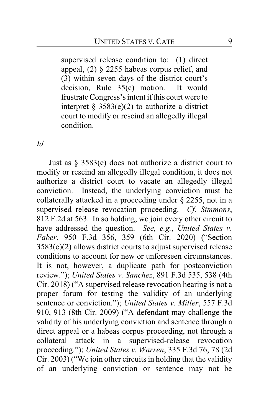supervised release condition to: (1) direct appeal, (2) § 2255 habeas corpus relief, and (3) within seven days of the district court's decision, Rule 35(c) motion. It would frustrate Congress's intent if this court were to interpret  $\S$  3583(e)(2) to authorize a district court to modify or rescind an allegedly illegal condition.

*Id.*

Just as § 3583(e) does not authorize a district court to modify or rescind an allegedly illegal condition, it does not authorize a district court to vacate an allegedly illegal conviction. Instead, the underlying conviction must be collaterally attacked in a proceeding under § 2255, not in a supervised release revocation proceeding. *Cf. Simmons*, 812 F.2d at 563. In so holding, we join every other circuit to have addressed the question. *See, e.g.*, *United States v. Faber*, 950 F.3d 356, 359 (6th Cir. 2020) ("Section 3583(e)(2) allows district courts to adjust supervised release conditions to account for new or unforeseen circumstances. It is not, however, a duplicate path for postconviction review."); *United States v. Sanchez*, 891 F.3d 535, 538 (4th Cir. 2018) ("A supervised release revocation hearing is not a proper forum for testing the validity of an underlying sentence or conviction."); *United States v. Miller*, 557 F.3d 910, 913 (8th Cir. 2009) ("A defendant may challenge the validity of his underlying conviction and sentence through a direct appeal or a habeas corpus proceeding, not through a collateral attack in a supervised-release revocation proceeding."); *United States v. Warren*, 335 F.3d 76, 78 (2d Cir. 2003) ("We join other circuits in holding that the validity of an underlying conviction or sentence may not be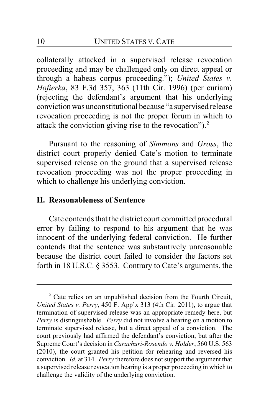collaterally attacked in a supervised release revocation proceeding and may be challenged only on direct appeal or through a habeas corpus proceeding."); *United States v. Hofierka*, 83 F.3d 357, 363 (11th Cir. 1996) (per curiam) (rejecting the defendant's argument that his underlying conviction was unconstitutional because "a supervised release revocation proceeding is not the proper forum in which to attack the conviction giving rise to the revocation").**<sup>2</sup>**

Pursuant to the reasoning of *Simmons* and *Gross*, the district court properly denied Cate's motion to terminate supervised release on the ground that a supervised release revocation proceeding was not the proper proceeding in which to challenge his underlying conviction.

### **II. Reasonableness of Sentence**

Cate contends that the district court committed procedural error by failing to respond to his argument that he was innocent of the underlying federal conviction. He further contends that the sentence was substantively unreasonable because the district court failed to consider the factors set forth in 18 U.S.C. § 3553. Contrary to Cate's arguments, the

**<sup>2</sup>** Cate relies on an unpublished decision from the Fourth Circuit, *United States v. Perry*, 450 F. App'x 313 (4th Cir. 2011), to argue that termination of supervised release was an appropriate remedy here, but *Perry* is distinguishable. *Perry* did not involve a hearing on a motion to terminate supervised release, but a direct appeal of a conviction. The court previously had affirmed the defendant's conviction, but after the Supreme Court's decision in *Carachuri-Rosendo v. Holder*, 560 U.S. 563 (2010), the court granted his petition for rehearing and reversed his conviction. *Id.* at 314. *Perry* therefore does not support the argument that a supervised release revocation hearing is a proper proceeding in which to challenge the validity of the underlying conviction.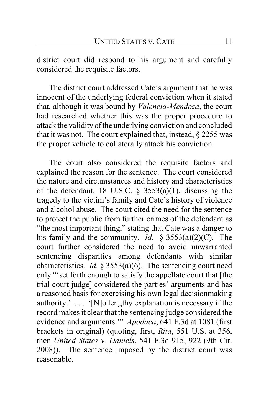district court did respond to his argument and carefully considered the requisite factors.

The district court addressed Cate's argument that he was innocent of the underlying federal conviction when it stated that, although it was bound by *Valencia-Mendoza*, the court had researched whether this was the proper procedure to attack the validity ofthe underlying conviction and concluded that it was not. The court explained that, instead, § 2255 was the proper vehicle to collaterally attack his conviction.

The court also considered the requisite factors and explained the reason for the sentence. The court considered the nature and circumstances and history and characteristics of the defendant, 18 U.S.C.  $\S$  3553(a)(1), discussing the tragedy to the victim's family and Cate's history of violence and alcohol abuse. The court cited the need for the sentence to protect the public from further crimes of the defendant as "the most important thing," stating that Cate was a danger to his family and the community. *Id.* § 3553(a)(2)(C). The court further considered the need to avoid unwarranted sentencing disparities among defendants with similar characteristics. *Id.* § 3553(a)(6). The sentencing court need only "'set forth enough to satisfy the appellate court that [the trial court judge] considered the parties' arguments and has a reasoned basis for exercising his own legal decisionmaking authority.' . . . '[N]o lengthy explanation is necessary if the record makes it clear that the sentencing judge considered the evidence and arguments.'" *Apodaca*, 641 F.3d at 1081 (first brackets in original) (quoting, first, *Rita*, 551 U.S. at 356, then *United States v. Daniels*, 541 F.3d 915, 922 (9th Cir. 2008)). The sentence imposed by the district court was reasonable.